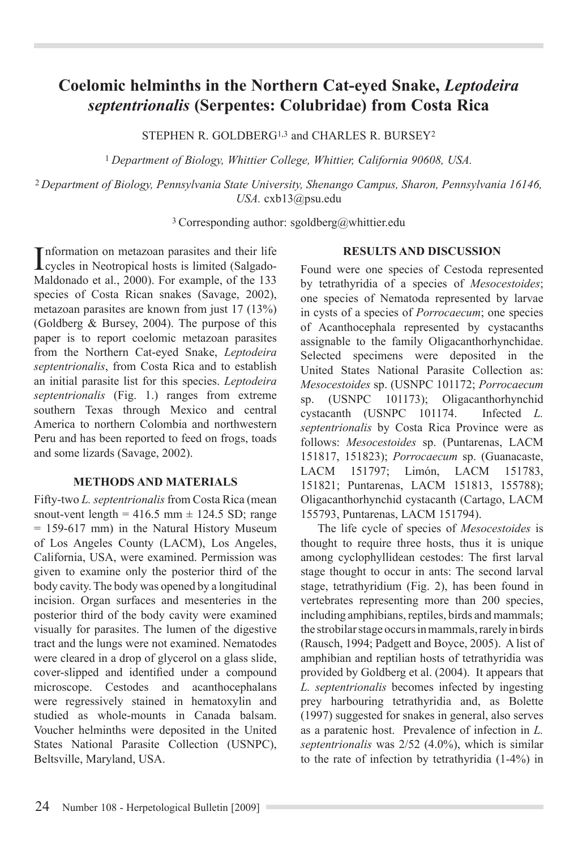# **Coelomic helminths in the Northern Cat-eyed Snake,** *Leptodeira septentrionalis* **(Serpentes: Colubridae) from Costa Rica**

STEPHEN R. GOLDBERG<sup>1,3</sup> and CHARLES R. BURSEY<sup>2</sup>

<sup>1</sup>*Department of Biology, Whittier College, Whittier, California 90608, USA.* 

<sup>2</sup>*Department of Biology, Pennsylvania State University, Shenango Campus, Sharon, Pennsylvania 16146, USA.* cxb13@psu.edu

3 Corresponding author: sgoldberg@whittier.edu

Information on metazoan parasites and their life<br>cycles in Neotropical hosts is limited (Salgadonformation on metazoan parasites and their life Maldonado et al., 2000). For example, of the 133 species of Costa Rican snakes (Savage, 2002), metazoan parasites are known from just 17 (13%) (Goldberg & Bursey, 2004). The purpose of this paper is to report coelomic metazoan parasites from the Northern Cat-eyed Snake, *Leptodeira septentrionalis*, from Costa Rica and to establish an initial parasite list for this species. *Leptodeira septentrionalis* (Fig. 1.) ranges from extreme southern Texas through Mexico and central America to northern Colombia and northwestern Peru and has been reported to feed on frogs, toads and some lizards (Savage, 2002).

# **METHODS AND MATERIALS**

Fifty-two *L. septentrionalis* from Costa Rica (mean snout-vent length =  $416.5$  mm  $\pm$  124.5 SD; range = 159-617 mm) in the Natural History Museum of Los Angeles County (LACM), Los Angeles, California, USA, were examined. Permission was given to examine only the posterior third of the body cavity. The body was opened by a longitudinal incision. Organ surfaces and mesenteries in the posterior third of the body cavity were examined visually for parasites. The lumen of the digestive tract and the lungs were not examined. Nematodes were cleared in a drop of glycerol on a glass slide, cover-slipped and identified under a compound microscope. Cestodes and acanthocephalans were regressively stained in hematoxylin and studied as whole-mounts in Canada balsam. Voucher helminths were deposited in the United States National Parasite Collection (USNPC), Beltsville, Maryland, USA.

### **RESULTS AND DISCUSSION**

Found were one species of Cestoda represented by tetrathyridia of a species of *Mesocestoides*; one species of Nematoda represented by larvae in cysts of a species of *Porrocaecum*; one species of Acanthocephala represented by cystacanths assignable to the family Oligacanthorhynchidae. Selected specimens were deposited in the United States National Parasite Collection as: *Mesocestoides* sp. (USNPC 101172; *Porrocaecum* sp. (USNPC 101173); Oligacanthorhynchid cystacanth (USNPC 101174. Infected *L. septentrionalis* by Costa Rica Province were as follows: *Mesocestoides* sp. (Puntarenas, LACM 151817, 151823); *Porrocaecum* sp. (Guanacaste, LACM 151797; Limón, LACM 151783, 151821; Puntarenas, LACM 151813, 155788); Oligacanthorhynchid cystacanth (Cartago, LACM 155793, Puntarenas, LACM 151794).

The life cycle of species of *Mesocestoides* is thought to require three hosts, thus it is unique among cyclophyllidean cestodes: The first larval stage thought to occur in ants: The second larval stage, tetrathyridium (Fig. 2), has been found in vertebrates representing more than 200 species, including amphibians, reptiles, birds and mammals; the strobilar stage occurs in mammals, rarely in birds (Rausch, 1994; Padgett and Boyce, 2005). A list of amphibian and reptilian hosts of tetrathyridia was provided by Goldberg et al. (2004). It appears that *L. septentrionalis* becomes infected by ingesting prey harbouring tetrathyridia and, as Bolette (1997) suggested for snakes in general, also serves as a paratenic host. Prevalence of infection in *L. septentrionalis* was 2/52 (4.0%), which is similar to the rate of infection by tetrathyridia (1-4%) in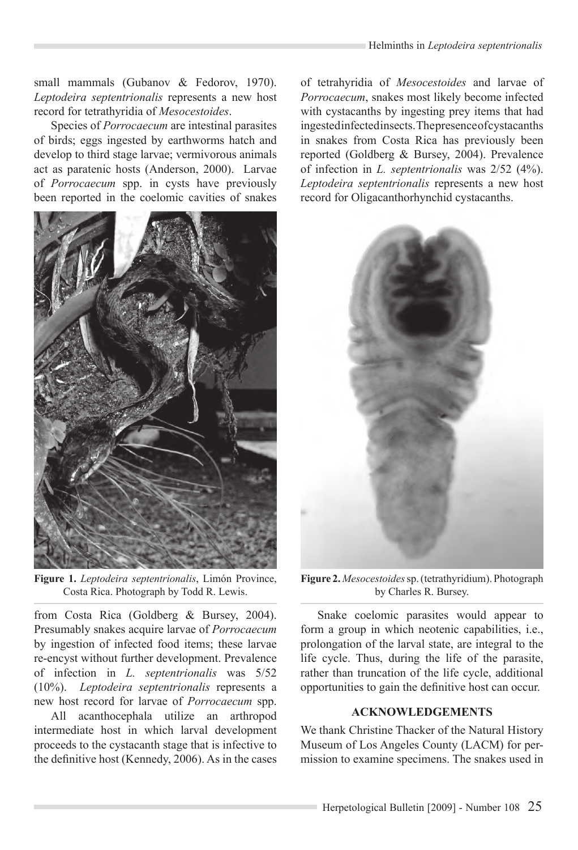small mammals (Gubanov & Fedorov, 1970). *Leptodeira septentrionalis* represents a new host record for tetrathyridia of *Mesocestoides*.

Species of *Porrocaecum* are intestinal parasites of birds; eggs ingested by earthworms hatch and develop to third stage larvae; vermivorous animals act as paratenic hosts (Anderson, 2000). Larvae of *Porrocaecum* spp. in cysts have previously been reported in the coelomic cavities of snakes



**Figure 1.** *Leptodeira septentrionalis*, Limón Province, Costa Rica. Photograph by Todd R. Lewis.

from Costa Rica (Goldberg & Bursey, 2004). Presumably snakes acquire larvae of *Porrocaecum*  by ingestion of infected food items; these larvae re-encyst without further development. Prevalence of infection in *L. septentrionalis* was 5/52 (10%). *Leptodeira septentrionalis* represents a new host record for larvae of *Porrocaecum* spp.

All acanthocephala utilize an arthropod intermediate host in which larval development proceeds to the cystacanth stage that is infective to the definitive host (Kennedy, 2006). As in the cases of tetrahyridia of *Mesocestoides* and larvae of *Porrocaecum*, snakes most likely become infected with cystacanths by ingesting prey items that had ingested infected insects. The presence of cystacanths in snakes from Costa Rica has previously been reported (Goldberg & Bursey, 2004). Prevalence of infection in *L. septentrionalis* was 2/52 (4%). *Leptodeira septentrionalis* represents a new host record for Oligacanthorhynchid cystacanths.



**Figure 2.** *Mesocestoides* sp. (tetrathyridium). Photograph by Charles R. Bursey.

Snake coelomic parasites would appear to form a group in which neotenic capabilities, i.e., prolongation of the larval state, are integral to the life cycle. Thus, during the life of the parasite, rather than truncation of the life cycle, additional opportunities to gain the definitive host can occur.

# **ACKNOWLEDGEMENTS**

We thank Christine Thacker of the Natural History Museum of Los Angeles County (LACM) for permission to examine specimens. The snakes used in